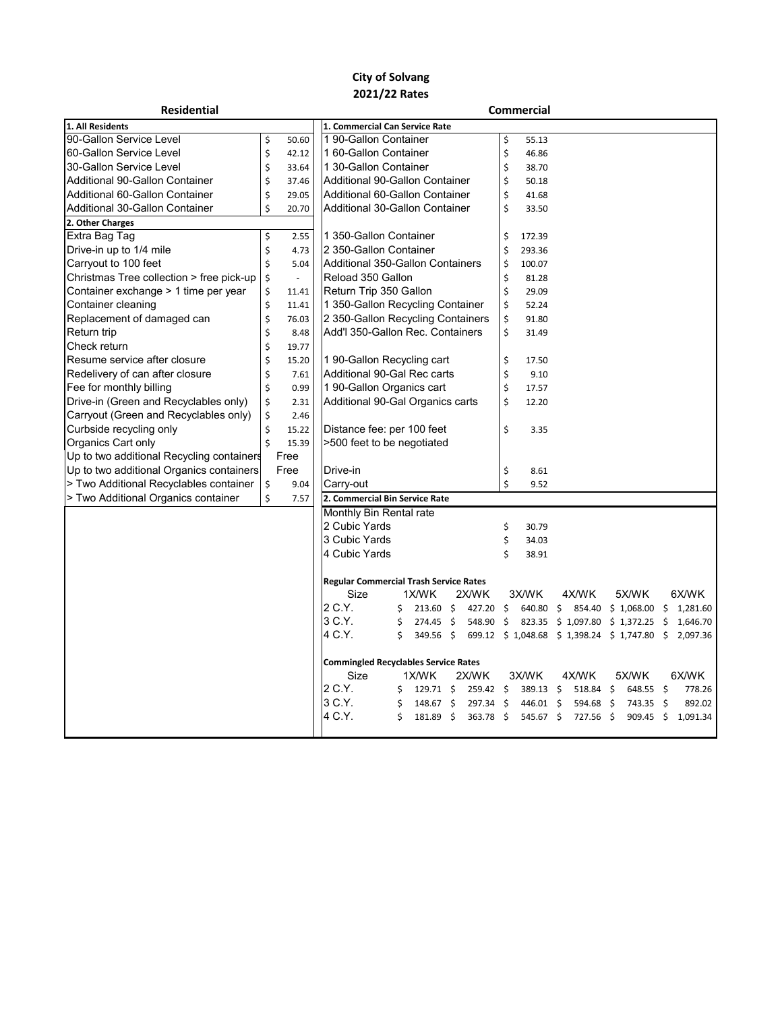## **City of Solvang 2021/22 Rates**

| <b>Residential</b>                        | <b>Commercial</b> |          |                                                      |    |                   |    |           |                     |             |  |                                               |  |           |                     |          |
|-------------------------------------------|-------------------|----------|------------------------------------------------------|----|-------------------|----|-----------|---------------------|-------------|--|-----------------------------------------------|--|-----------|---------------------|----------|
| 1. All Residents                          |                   |          | 1. Commercial Can Service Rate                       |    |                   |    |           |                     |             |  |                                               |  |           |                     |          |
| 90-Gallon Service Level                   | \$                | 50.60    | 190-Gallon Container                                 |    |                   |    | \$        | 55.13               |             |  |                                               |  |           |                     |          |
| 60-Gallon Service Level                   | \$                | 42.12    | 1 60-Gallon Container                                |    |                   |    |           | \$                  | 46.86       |  |                                               |  |           |                     |          |
| 30-Gallon Service Level                   | \$                | 33.64    | 1 30-Gallon Container                                |    |                   |    | \$        | 38.70               |             |  |                                               |  |           |                     |          |
| Additional 90-Gallon Container            | \$                | 37.46    | Additional 90-Gallon Container                       |    |                   |    | \$        | 50.18               |             |  |                                               |  |           |                     |          |
| Additional 60-Gallon Container            | \$                | 29.05    | Additional 60-Gallon Container                       |    |                   |    | \$        | 41.68               |             |  |                                               |  |           |                     |          |
| <b>Additional 30-Gallon Container</b>     | \$                | 20.70    | Additional 30-Gallon Container                       |    |                   | \$ | 33.50     |                     |             |  |                                               |  |           |                     |          |
| 2. Other Charges                          |                   |          |                                                      |    |                   |    |           |                     |             |  |                                               |  |           |                     |          |
| Extra Bag Tag                             | \$                | 2.55     | 1 350-Gallon Container                               |    |                   |    | \$        | 172.39              |             |  |                                               |  |           |                     |          |
| Drive-in up to 1/4 mile                   | \$                | 4.73     | 2 350-Gallon Container                               |    |                   |    | \$        | 293.36              |             |  |                                               |  |           |                     |          |
| Carryout to 100 feet                      | \$                | 5.04     | Additional 350-Gallon Containers                     |    |                   |    | \$        | 100.07              |             |  |                                               |  |           |                     |          |
| Christmas Tree collection > free pick-up  | \$                | $\omega$ | Reload 350 Gallon                                    |    |                   |    | \$        | 81.28               |             |  |                                               |  |           |                     |          |
| Container exchange > 1 time per year      | \$                | 11.41    | Return Trip 350 Gallon                               |    |                   |    | \$        | 29.09               |             |  |                                               |  |           |                     |          |
| Container cleaning                        | \$                | 11.41    | 1 350-Gallon Recycling Container                     |    |                   |    |           | \$                  | 52.24       |  |                                               |  |           |                     |          |
| Replacement of damaged can                | \$                | 76.03    | 2 350-Gallon Recycling Containers                    |    |                   |    |           | \$                  | 91.80       |  |                                               |  |           |                     |          |
| Return trip                               | \$                | 8.48     | Add'l 350-Gallon Rec. Containers                     |    |                   |    |           | \$                  | 31.49       |  |                                               |  |           |                     |          |
| Check return                              | \$                | 19.77    |                                                      |    |                   |    |           |                     |             |  |                                               |  |           |                     |          |
| Resume service after closure              | \$                | 15.20    | 1 90-Gallon Recycling cart                           |    |                   |    |           | \$                  | 17.50       |  |                                               |  |           |                     |          |
| Redelivery of can after closure           | \$                | 7.61     | Additional 90-Gal Rec carts                          |    |                   |    |           | \$                  | 9.10        |  |                                               |  |           |                     |          |
| Fee for monthly billing                   | \$                | 0.99     | 1 90-Gallon Organics cart                            |    |                   |    |           | \$                  | 17.57       |  |                                               |  |           |                     |          |
| Drive-in (Green and Recyclables only)     | \$                | 2.31     | Additional 90-Gal Organics carts                     |    |                   |    |           | \$                  | 12.20       |  |                                               |  |           |                     |          |
| Carryout (Green and Recyclables only)     | \$                | 2.46     |                                                      |    |                   |    |           |                     |             |  |                                               |  |           |                     |          |
| Curbside recycling only                   | \$                | 15.22    | Distance fee: per 100 feet                           |    |                   |    | \$        | 3.35                |             |  |                                               |  |           |                     |          |
| Organics Cart only                        | \$                | 15.39    | >500 feet to be negotiated                           |    |                   |    |           |                     |             |  |                                               |  |           |                     |          |
| Up to two additional Recycling containers |                   | Free     |                                                      |    |                   |    |           |                     |             |  |                                               |  |           |                     |          |
| Up to two additional Organics containers  |                   | Free     | Drive-in                                             |    |                   |    | \$        | 8.61                |             |  |                                               |  |           |                     |          |
| > Two Additional Recyclables container    | \$                | 9.04     | Carry-out                                            |    |                   |    |           | Ś                   | 9.52        |  |                                               |  |           |                     |          |
| > Two Additional Organics container       | \$                | 7.57     | 2. Commercial Bin Service Rate                       |    |                   |    |           |                     |             |  |                                               |  |           |                     |          |
|                                           |                   |          | Monthly Bin Rental rate                              |    |                   |    |           |                     |             |  |                                               |  |           |                     |          |
|                                           |                   |          | 2 Cubic Yards                                        |    |                   |    |           | \$                  | 30.79       |  |                                               |  |           |                     |          |
|                                           |                   |          | 3 Cubic Yards                                        |    |                   |    |           | \$                  | 34.03       |  |                                               |  |           |                     |          |
|                                           |                   |          | 4 Cubic Yards                                        |    |                   |    |           | Ś                   | 38.91       |  |                                               |  |           |                     |          |
|                                           |                   |          |                                                      |    |                   |    |           |                     |             |  |                                               |  |           |                     |          |
|                                           |                   |          | <b>Regular Commercial Trash Service Rates</b>        |    |                   |    |           |                     |             |  |                                               |  |           |                     |          |
|                                           |                   |          | Size                                                 |    | 1X/WK             |    | 2X/WK     |                     | 3X/WK       |  | 4X/WK                                         |  | 5X/WK     |                     | 6X/WK    |
|                                           |                   |          | 2 C.Y.                                               | \$ | $213.60 \div$     |    | 427.20 \$ |                     |             |  | 640.80 \$ 854.40 \$ 1,068.00 \$               |  |           |                     | 1,281.60 |
|                                           |                   |          | 3 C.Y.                                               | \$ | 274.45 \$         |    | 548.90    | $\ddot{\mathsf{S}}$ |             |  | 823.35 \$ 1,097.80 \$ 1,372.25                |  |           | \$                  | 1,646.70 |
|                                           |                   |          | 4 C.Y.                                               | Ś  | 349.56 \$         |    |           |                     |             |  | 699.12 \$ 1,048.68 \$ 1,398.24 \$ 1,747.80 \$ |  |           |                     | 2,097.36 |
|                                           |                   |          |                                                      |    |                   |    |           |                     |             |  |                                               |  |           |                     |          |
|                                           |                   |          | <b>Commingled Recyclables Service Rates</b><br>1X/WK |    |                   |    |           |                     |             |  |                                               |  |           |                     |          |
|                                           |                   |          | Size<br>2 C.Y.                                       |    |                   |    | 2X/WK     |                     | 3X/WK       |  | 4X/WK                                         |  | 5X/WK     |                     | 6X/WK    |
|                                           |                   |          | 3 C.Y.                                               | \$ | $129.71 \text{ }$ |    | 259.42 \$ |                     | 389.13 \$   |  | $518.84$ \$                                   |  | 648.55 \$ |                     | 778.26   |
|                                           |                   |          |                                                      | \$ | 148.67 \$         |    | 297.34 \$ |                     | 446.01 \$   |  | 594.68 \$                                     |  | 743.35    | $\ddot{\mathsf{s}}$ | 892.02   |
|                                           |                   |          | 4 C.Y.                                               | \$ | 181.89 \$         |    | 363.78 \$ |                     | $545.67$ \$ |  | 727.56 \$                                     |  | 909.45    | - \$                | 1,091.34 |
|                                           |                   |          |                                                      |    |                   |    |           |                     |             |  |                                               |  |           |                     |          |